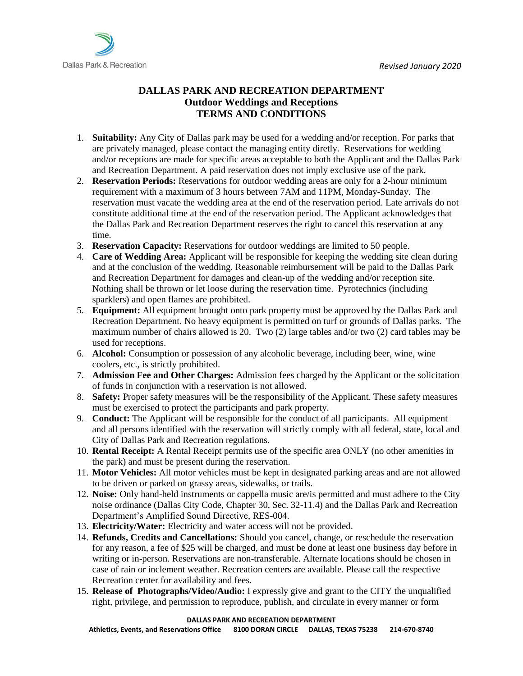

## **DALLAS PARK AND RECREATION DEPARTMENT Outdoor Weddings and Receptions TERMS AND CONDITIONS**

- 1. **Suitability:** Any City of Dallas park may be used for a wedding and/or reception. For parks that are privately managed, please contact the managing entity diretly. Reservations for wedding and/or receptions are made for specific areas acceptable to both the Applicant and the Dallas Park and Recreation Department. A paid reservation does not imply exclusive use of the park.
- 2. **Reservation Periods:** Reservations for outdoor wedding areas are only for a 2-hour minimum requirement with a maximum of 3 hours between 7AM and 11PM, Monday-Sunday. The reservation must vacate the wedding area at the end of the reservation period. Late arrivals do not constitute additional time at the end of the reservation period. The Applicant acknowledges that the Dallas Park and Recreation Department reserves the right to cancel this reservation at any time.
- 3. **Reservation Capacity:** Reservations for outdoor weddings are limited to 50 people.
- 4. **Care of Wedding Area:** Applicant will be responsible for keeping the wedding site clean during and at the conclusion of the wedding. Reasonable reimbursement will be paid to the Dallas Park and Recreation Department for damages and clean-up of the wedding and/or reception site. Nothing shall be thrown or let loose during the reservation time. Pyrotechnics (including sparklers) and open flames are prohibited.
- 5. **Equipment:** All equipment brought onto park property must be approved by the Dallas Park and Recreation Department. No heavy equipment is permitted on turf or grounds of Dallas parks. The maximum number of chairs allowed is 20. Two (2) large tables and/or two (2) card tables may be used for receptions.
- 6. **Alcohol:** Consumption or possession of any alcoholic beverage, including beer, wine, wine coolers, etc., is strictly prohibited.
- 7. **Admission Fee and Other Charges:** Admission fees charged by the Applicant or the solicitation of funds in conjunction with a reservation is not allowed.
- 8. **Safety:** Proper safety measures will be the responsibility of the Applicant. These safety measures must be exercised to protect the participants and park property.
- 9. **Conduct:** The Applicant will be responsible for the conduct of all participants. All equipment and all persons identified with the reservation will strictly comply with all federal, state, local and City of Dallas Park and Recreation regulations.
- 10. **Rental Receipt:** A Rental Receipt permits use of the specific area ONLY (no other amenities in the park) and must be present during the reservation.
- 11. **Motor Vehicles:** All motor vehicles must be kept in designated parking areas and are not allowed to be driven or parked on grassy areas, sidewalks, or trails.
- 12. **Noise:** Only hand-held instruments or cappella music are/is permitted and must adhere to the City noise ordinance (Dallas City Code, Chapter 30, Sec. 32-11.4) and the Dallas Park and Recreation Department's Amplified Sound Directive, RES-004.
- 13. **Electricity/Water:** Electricity and water access will not be provided.
- 14. **Refunds, Credits and Cancellations:** Should you cancel, change, or reschedule the reservation for any reason, a fee of \$25 will be charged, and must be done at least one business day before in writing or in-person. Reservations are non-transferable. Alternate locations should be chosen in case of rain or inclement weather. Recreation centers are available. Please call the respective Recreation center for availability and fees.
- 15. **Release of Photographs/Video/Audio:** I expressly give and grant to the CITY the unqualified right, privilege, and permission to reproduce, publish, and circulate in every manner or form

## **DALLAS PARK AND RECREATION DEPARTMENT**

**Athletics, Events, and Reservations Office 8100 DORAN CIRCLE DALLAS, TEXAS 75238 214-670-8740**